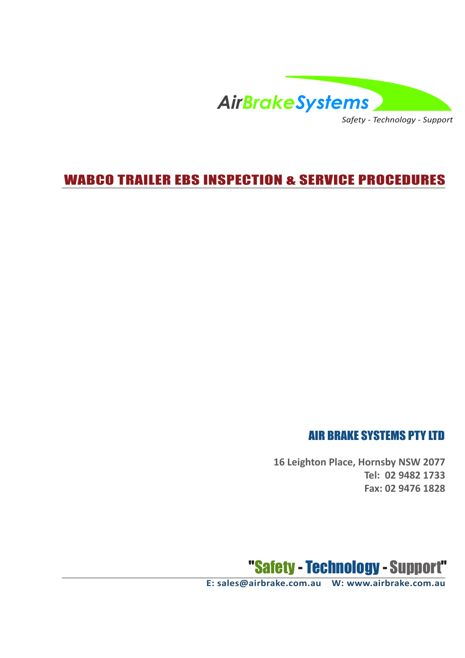

*Safety - Technology - Support*

## WABCO TRAILER EBS INSPECTION & SERVICE PROCEDURES

### AIR BRAKE SYSTEMS PTY LTD

**16 Leighton Place, Hornsby NSW 2077 Tel: 02 9482 1733 Fax: 02 9476 1828**



**E: sales@airbrake.com.au W: www.airbrake.com.au**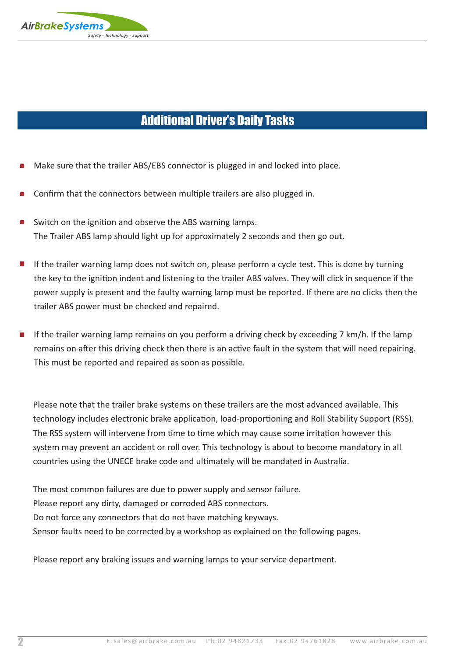

## Additional Driver's Daily Tasks

- Make sure that the trailer ABS/EBS connector is plugged in and locked into place.
- Confirm that the connectors between multiple trailers are also plugged in.
- $\blacksquare$  Switch on the ignition and observe the ABS warning lamps. The Trailer ABS lamp should light up for approximately 2 seconds and then go out.
- $\blacksquare$  If the trailer warning lamp does not switch on, please perform a cycle test. This is done by turning the key to the ignition indent and listening to the trailer ABS valves. They will click in sequence if the power supply is present and the faulty warning lamp must be reported. If there are no clicks then the trailer ABS power must be checked and repaired.
- If the trailer warning lamp remains on you perform a driving check by exceeding 7 km/h. If the lamp remains on after this driving check then there is an active fault in the system that will need repairing. This must be reported and repaired as soon as possible.

Please note that the trailer brake systems on these trailers are the most advanced available. This technology includes electronic brake application, load-proportioning and Roll Stability Support (RSS). The RSS system will intervene from time to time which may cause some irritation however this system may prevent an accident or roll over. This technology is about to become mandatory in all countries using the UNECE brake code and ultimately will be mandated in Australia.

The most common failures are due to power supply and sensor failure. Please report any dirty, damaged or corroded ABS connectors. Do not force any connectors that do not have matching keyways. Sensor faults need to be corrected by a workshop as explained on the following pages.

Please report any braking issues and warning lamps to your service department.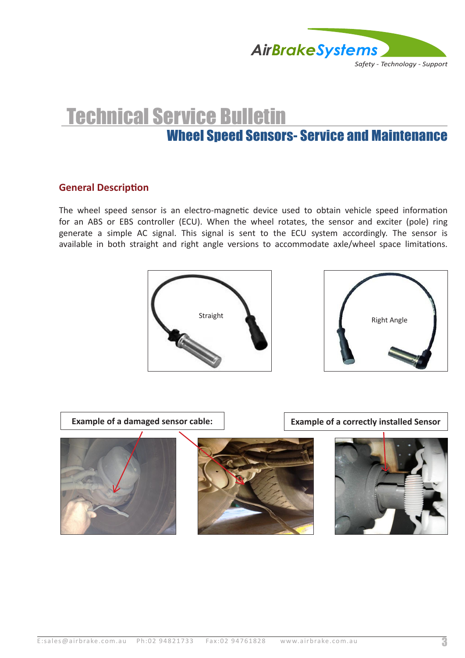

# Wheel Speed Sensors- Service and Maintenance Technical Service Bulletin

#### **General Description**

The wheel speed sensor is an electro-magnetic device used to obtain vehicle speed information for an ABS or EBS controller (ECU). When the wheel rotates, the sensor and exciter (pole) ring generate a simple AC signal. This signal is sent to the ECU system accordingly. The sensor is available in both straight and right angle versions to accommodate axle/wheel space limitations.





**Example of a damaged sensor cable:**  $\vert$  **Example of a correctly installed Sensor** 



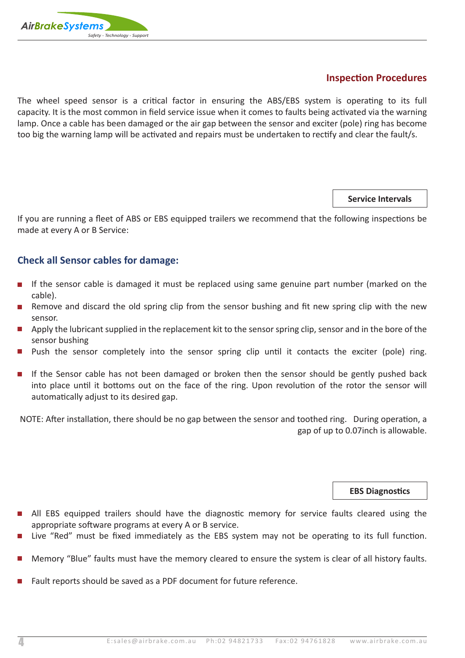

#### **Inspection Procedures**

The wheel speed sensor is a critical factor in ensuring the ABS/EBS system is operating to its full capacity. It is the most common in field service issue when it comes to faults being activated via the warning lamp. Once a cable has been damaged or the air gap between the sensor and exciter (pole) ring has become too big the warning lamp will be activated and repairs must be undertaken to rectify and clear the fault/s.

**Service Intervals**

If you are running a fleet of ABS or EBS equipped trailers we recommend that the following inspections be made at every A or B Service:

#### **Check all Sensor cables for damage:**

- **•** If the sensor cable is damaged it must be replaced using same genuine part number (marked on the cable).
- Remove and discard the old spring clip from the sensor bushing and fit new spring clip with the new sensor.
- $\blacksquare$  Apply the lubricant supplied in the replacement kit to the sensor spring clip, sensor and in the bore of the sensor bushing
- $\blacksquare$  Push the sensor completely into the sensor spring clip until it contacts the exciter (pole) ring.
- $\blacksquare$  If the Sensor cable has not been damaged or broken then the sensor should be gently pushed back into place until it bottoms out on the face of the ring. Upon revolution of the rotor the sensor will automatically adjust to its desired gap.

NOTE: After installation, there should be no gap between the sensor and toothed ring. During operation, a gap of up to 0.07inch is allowable.

**EBS Diagnostics**

- All EBS equipped trailers should have the diagnostic memory for service faults cleared using the appropriate software programs at every A or B service.
- Live "Red" must be fixed immediately as the EBS system may not be operating to its full function.
- Memory "Blue" faults must have the memory cleared to ensure the system is clear of all history faults.
- Fault reports should be saved as a PDF document for future reference.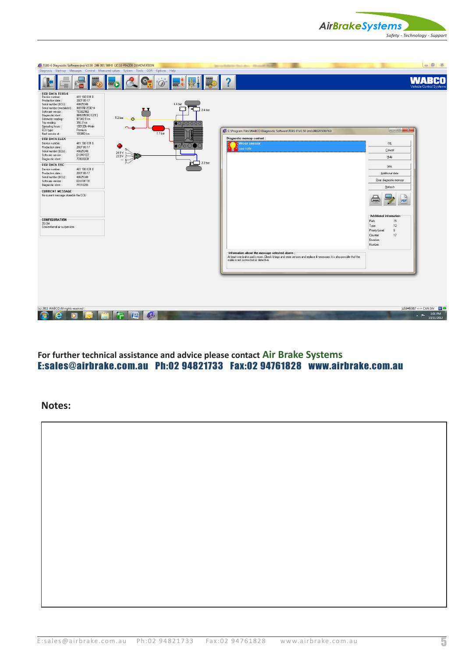



**For further technical assistance and advice please contact Air Brake Systems** E:sales@airbrake.com.au Ph:02 94821733 Fax:02 94761828 www.airbrake.com.au

**Notes:**